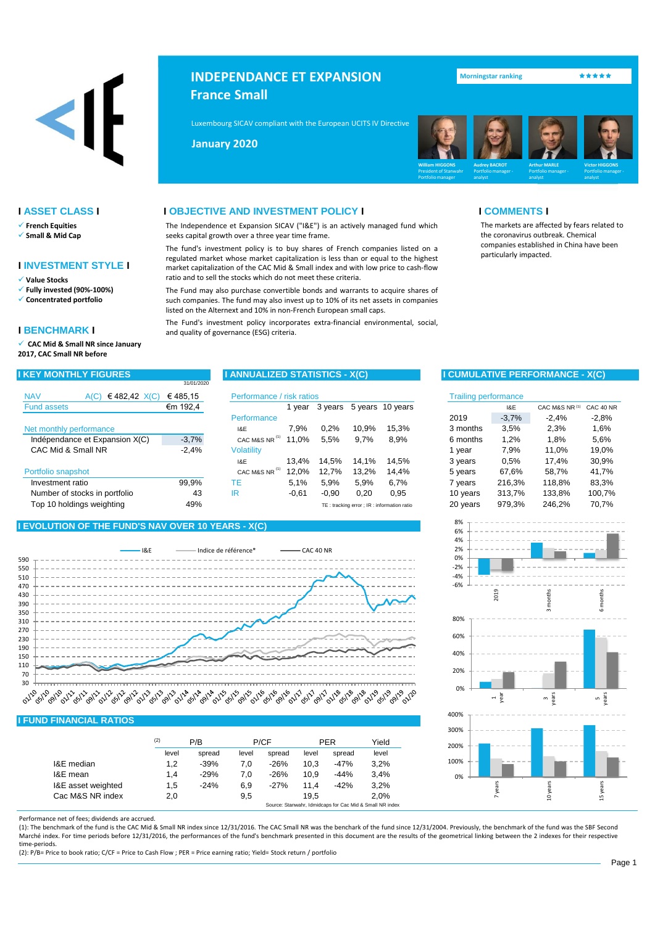# $\left\langle \right\vert$

- ✓ **French Equities**
- ✓ **Small & Mid Cap**

# **I INVESTMENT STYLE I**

- ✓ **Value Stocks**
- ✓ **Fully invested (90%-100%)**
- ✓ **Concentrated portfolio**

# **I BENCHMARK I**

✓ **CAC Mid & Small NR since January 2017, CAC Small NR before**

| <b>INDEPENDANCE ET EXPANSION</b> |
|----------------------------------|
| <b>France Small</b>              |

Luxembourg SICAV compliant with the European UCITS IV Directive (2009/65/EC) and 2009/65/EC

**Mai 2013 January 2020**



● <mark>Morningstar ranking フィック・ディネット</mark>

particularly impacted.

The markets are affected by fears related to the coronavirus outbreak. Chemical companies established in China have been

# **I ASSET CLASS I I OBJECTIVE AND INVESTMENT POLICY I I COMMENTS I**

The Independence et Expansion SICAV ("I&E") is an actively managed fund which seeks capital growth over a three year time frame.

The fund's investment policy is to buy shares of French companies listed on a regulated market whose market capitalization is less than or equal to the highest market capitalization of the CAC Mid & Small index and with low price to cash-flow ratio and to sell the stocks which do not meet these criteria.

The Fund may also purchase convertible bonds and warrants to acquire shares of such companies. The fund may also invest up to 10% of its net assets in companies listed on the Alternext and 10% in non-French European small caps.

The Fund's investment policy incorporates extra-financial environmental, social, and quality of governance (ESG) criteria.

|                                      | 31/01/2020 |                           |         |         |       |                                            |                             |         |            |           |
|--------------------------------------|------------|---------------------------|---------|---------|-------|--------------------------------------------|-----------------------------|---------|------------|-----------|
| <b>NAV</b><br>€482,42 $X(C)$<br>A(C) | €485.15    | Performance / risk ratios |         |         |       |                                            | <b>Trailing performance</b> |         |            |           |
| <b>Fund assets</b>                   | €m 192,4   |                           | vear    | 3 years |       | 5 years 10 years                           |                             | I&E     | CAC M&S NR | CAC 40 NR |
|                                      |            | Performance               |         |         |       |                                            | 2019                        | $-3,7%$ | $-2.4%$    | $-2,8%$   |
| Net monthly performance              |            | 1&E                       | 7.9%    | 0.2%    | 10.9% | 15.3%                                      | 3 months                    | 3,5%    | 2,3%       | 1,6%      |
| Indépendance et Expansion X(C)       | $-3,7%$    | CAC M&S NR                | 11,0%   | 5,5%    | 9,7%  | 8.9%                                       | 6 months                    | 1,2%    | 1,8%       | 5,6%      |
| CAC Mid & Small NR                   | $-2,4%$    | <b>Volatility</b>         |         |         |       |                                            | I vear                      | 7,9%    | 11.0%      | 19,0%     |
|                                      |            | <b>I&amp;E</b>            | 13.4%   | 14.5%   | 14.1% | 14.5%                                      | 3 years                     | 0.5%    | 17.4%      | 30,9%     |
| Portfolio snapshot                   |            | CAC M&S NR                | 12,0%   | 12.7%   | 13.2% | 14.4%                                      | 5 years                     | 67.6%   | 58.7%      | 41.7%     |
| Investment ratio                     | 99.9%      | ТE                        | 5.1%    | 5.9%    | 5.9%  | 6.7%                                       | 7 vears                     | 216.3%  | 118.8%     | 83,3%     |
| Number of stocks in portfolio        | 43         | IR                        | $-0.61$ | $-0.90$ | 0,20  | 0,95                                       | 10 years                    | 313.7%  | 133.8%     | 100,7%    |
| Top 10 holdings weighting            | 49%        |                           |         |         |       | TE: tracking error ; IR: information ratio | 20 years                    | 979,3%  | 246.2%     | 70.7%     |

# **I EVOLUTION OF THE FUND'S NAV OVER 10 YEARS - X(C)**



### **I FUND FINANCIAL RATIOS**

|                    | (2)   | P/B    |       | P/CF   |       | <b>PER</b> | Yield |
|--------------------|-------|--------|-------|--------|-------|------------|-------|
|                    | level | spread | level | spread | level | spread     | level |
| I&E median         | 1,2   | $-39%$ | 7.0   | $-26%$ | 10,3  | $-47%$     | 3.2%  |
| I&E mean           | 1.4   | $-29%$ | 7.0   | $-26%$ | 10.9  | $-44%$     | 3.4%  |
| I&E asset weighted | 1,5   | $-24%$ | 6.9   | $-27%$ | 11.4  | $-42%$     | 3,2%  |
| Cac M&S NR index   | 2,0   |        | 9,5   |        | 19.5  |            | 2.0%  |

Performance net of fees; dividends are accrued.

(1): The benchmark of the fund is the CAC Mid & Small NR index since 12/31/2016. The CAC Small NR was the benchark of the fund since 12/31/2004. Previously, the benchmark of the fund was the SBF Second Marché index. For time periods before 12/31/2016, the performances of the fund's benchmark presented in this document are the results of the geometrical linking between the 2 indexes for their respective time-periods.

(2): P/B= Price to book ratio; C/CF = Price to Cash Flow ; PER = Price earning ratio; Yield= Stock return / portfolio

# **I KEY MONTHLY FIGURES I ANNUALIZED STATISTICS - X(C) I CUMULATIVE PERFORMANCE - X(C)**

| isk ratios |         |       |                                                             |            | <b>Trailing performance</b> |                |           |
|------------|---------|-------|-------------------------------------------------------------|------------|-----------------------------|----------------|-----------|
| 1 year     | 3 years |       | 5 years 10 years                                            |            | I&E                         | CAC M&S NR (1) | CAC 40 NR |
|            |         |       |                                                             | 2019       | $-3,7%$                     | $-2,4%$        | $-2,8%$   |
| 7,9%       | 0.2%    | 10,9% | 15.3%                                                       | 3 months   | 3.5%                        | 2.3%           | 1.6%      |
| 11,0%      | 5,5%    | 9,7%  | 8,9%                                                        | 6 months   | 1,2%                        | 1,8%           | 5,6%      |
|            |         |       |                                                             | 1 year     | 7.9%                        | 11.0%          | 19,0%     |
| 13,4%      | 14,5%   | 14,1% | 14,5%                                                       | 3 years    | 0.5%                        | 17,4%          | 30,9%     |
| 12,0%      | 12.7%   | 13,2% | 14.4%                                                       | 5 years    | 67.6%                       | 58.7%          | 41.7%     |
| 5,1%       | 5,9%    | 5,9%  | 6,7%                                                        | 7 years    | 216,3%                      | 118,8%         | 83,3%     |
| $-0,61$    | $-0.90$ | 0,20  | 0.95                                                        | 10 years   | 313,7%                      | 133,8%         | 100,7%    |
|            |         |       | $TE +$ trocking orror $\cdot$ ID $\cdot$ information ratio. | $20$ years | 979 3%                      | 246.2%         | 70.7%     |